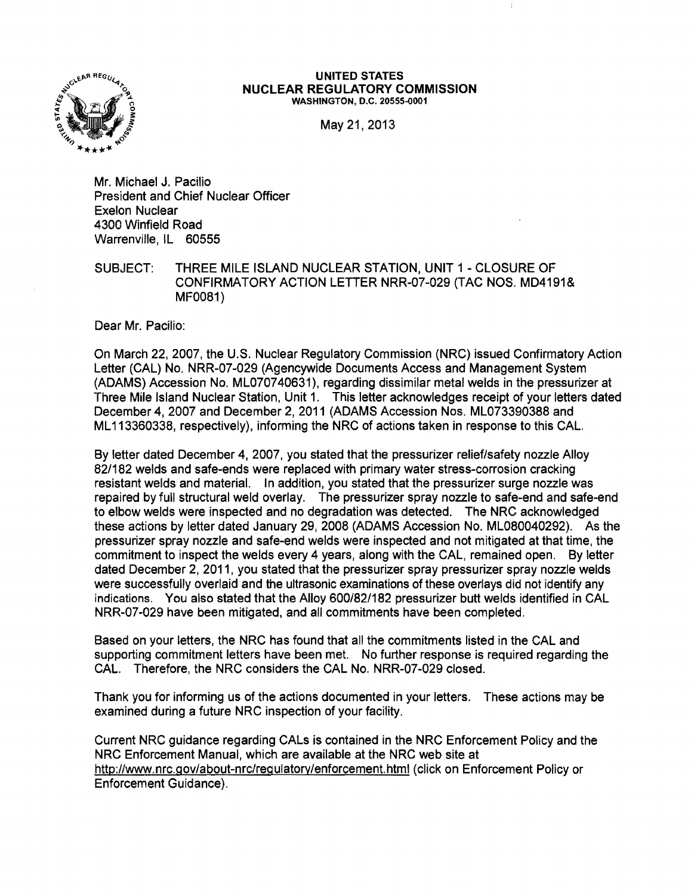

## UNITED STATES NUCLEAR REGULATORY COMMISSION WASHINGTON, D.C. 20555-0001

May 21,2013

Mr. Michael J. Pacilio President and Chief Nuclear Officer Exelon Nuclear 4300 Winfield Road Warrenville, IL 60555

SUBJECT: THREE MILE ISLAND NUCLEAR STATION, UNIT 1 - CLOSURE OF CONFIRMATORY ACTION LETTER NRR-07-029 (TAC NOS. MD4191& MF0081)

Dear Mr. Pacilio:

On March 22, 2007, the U.S. Nuclear Regulatory Commission (NRC) issued Confirmatory Action Letter (CAL) No. NRR-07-029 (Agencywide Documents Access and Management System (ADAMS) Accession No. ML070740631), regarding dissimilar metal welds in the pressurizer at Three Mile Island Nuclear Station, Unit 1. This letter acknowledges receipt of your letters dated December 4, 2007 and December 2, 2011 (ADAMS Accession Nos. ML073390388 and ML 113360338, respectively), informing the NRC of actions taken in response to this CAL.

By letter dated December 4, 2007, you stated that the pressurizer relief/safety nozzle Alloy 82/182 welds and safe-ends were replaced with primary water stress-corrosion cracking resistant welds and material. In addition, you stated that the pressurizer surge nozzle was repaired by full structural weld overlay. The pressurizer spray nozzle to safe-end and safe-end to elbow welds were inspected and no degradation was detected. The NRC acknowledged these actions by letter dated January 29, 2008 (ADAMS Accession No. ML080040292). As the pressurizer spray nozzle and safe-end welds were inspected and not mitigated at that time, the commitment to inspect the welds every 4 years, along with the CAL, remained open. By letter dated December 2, 2011, you stated that the pressurizer spray pressurizer spray nozzle welds were successfully overlaid and the ultrasonic examinations of these overlays did not identify any indications. You also stated that the Alloy 600/82/182 pressurizer butt welds identified in CAL NRR-07-029 have been mitigated, and all commitments have been completed.

Based on your letters, the NRC has found that all the commitments listed in the CAL and supporting commitment letters have been met. No further response is required regarding the CAL. Therefore, the NRC considers the CAL No. NRR-07-029 closed.

Thank you for informing us of the actions documented in your letters. These actions may be examined during a future NRC inspection of your facility.

Current NRC guidance regarding CALs is contained in the NRC Enforcement Policy and the NRC Enforcement Manual, which are available at the NRC web site at http://www.nrc.gov/about-nrc/regulatory/enforcement.html(click on Enforcement Policy or Enforcement Guidance).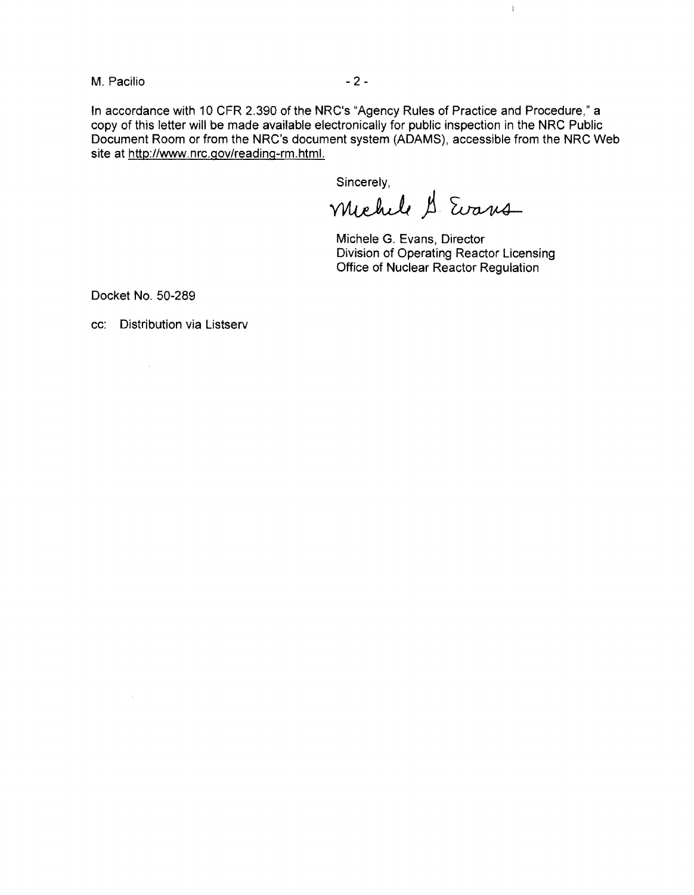M. Pacilio  $-2-$ 

In accordance with 10 CFR 2.390 of the NRC's "Agency Rules of Practice and Procedure," a copy of this letter will be made available electronically for public inspection in the NRC Public Document Room or from the NRC's document system (ADAMS), accessible from the NRC Web site at http://www.nrc.gov/reading-rm.html.

Sincerely,

michele & Evans

Michele G. Evans, Director Division of Operating Reactor Licensing Office of Nuclear Reactor Regulation

 $\bar{\mathbb{F}}$ 

Docket No. 50-289

 $\sim$   $\sim$ 

 $\hat{\mathcal{A}}$ 

cc: Distribution via Listserv